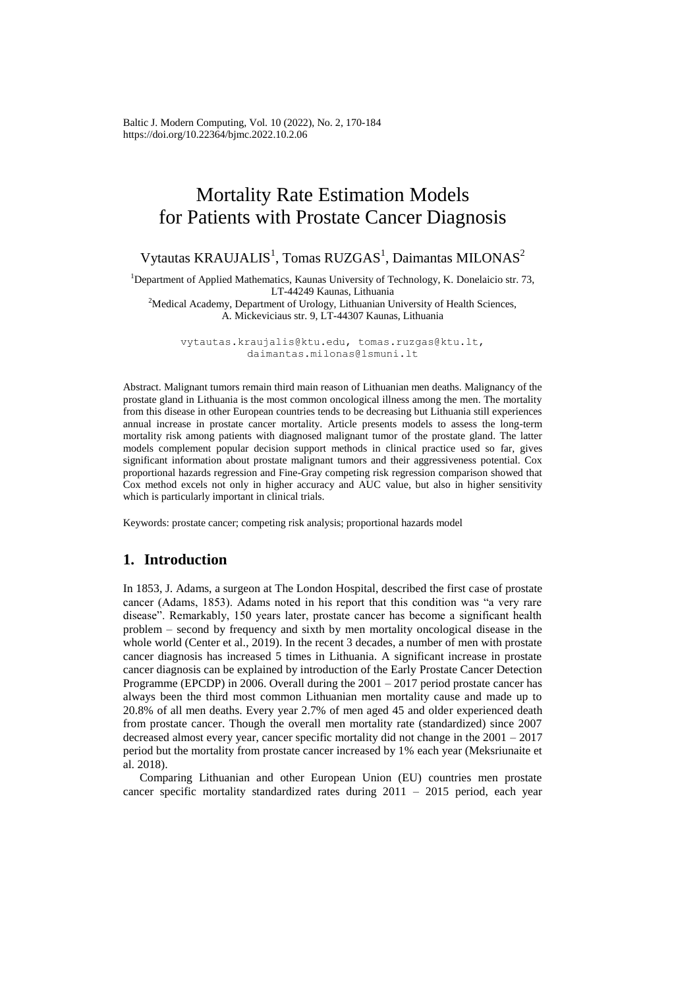Baltic J. Modern Computing, Vol. 10 (2022), No. 2, 170-184 <https://doi.org/10.22364/bjmc.2022.10.2.06>

# Mortality Rate Estimation Models for Patients with Prostate Cancer Diagnosis

Vytautas KRAUJALIS<sup>1</sup>, Tomas RUZGAS<sup>1</sup>, Daimantas MILONAS<sup>2</sup>

<sup>1</sup>Department of Applied Mathematics, Kaunas University of Technology, K. Donelaicio str. 73, LT-44249 Kaunas, Lithuania

<sup>2</sup>Medical Academy, Department of Urology, Lithuanian University of Health Sciences, A. Mickeviciaus str. 9, LT-44307 Kaunas, Lithuania

vytautas.kraujalis@ktu.edu, tomas.ruzgas@ktu.lt, daimantas.milonas@lsmuni.lt

Abstract. Malignant tumors remain third main reason of Lithuanian men deaths. Malignancy of the prostate gland in Lithuania is the most common oncological illness among the men. The mortality from this disease in other European countries tends to be decreasing but Lithuania still experiences annual increase in prostate cancer mortality. Article presents models to assess the long-term mortality risk among patients with diagnosed malignant tumor of the prostate gland. The latter models complement popular decision support methods in clinical practice used so far, gives significant information about prostate malignant tumors and their aggressiveness potential. Cox proportional hazards regression and Fine-Gray competing risk regression comparison showed that Cox method excels not only in higher accuracy and AUC value, but also in higher sensitivity which is particularly important in clinical trials.

Keywords: prostate cancer; competing risk analysis; proportional hazards model

## **1. Introduction**

In 1853, J. Adams, a surgeon at The London Hospital, described the first case of prostate cancer (Adams, 1853). Adams noted in his report that this condition was "a very rare disease". Remarkably, 150 years later, prostate cancer has become a significant health problem – second by frequency and sixth by men mortality oncological disease in the whole world (Center et al., 2019). In the recent 3 decades, a number of men with prostate cancer diagnosis has increased 5 times in Lithuania. A significant increase in prostate cancer diagnosis can be explained by introduction of the Early Prostate Cancer Detection Programme (EPCDP) in 2006. Overall during the 2001 – 2017 period prostate cancer has always been the third most common Lithuanian men mortality cause and made up to 20.8% of all men deaths. Every year 2.7% of men aged 45 and older experienced death from prostate cancer. Though the overall men mortality rate (standardized) since 2007 decreased almost every year, cancer specific mortality did not change in the 2001 – 2017 period but the mortality from prostate cancer increased by 1% each year (Meksriunaite et al. 2018).

Comparing Lithuanian and other European Union (EU) countries men prostate cancer specific mortality standardized rates during 2011 – 2015 period, each year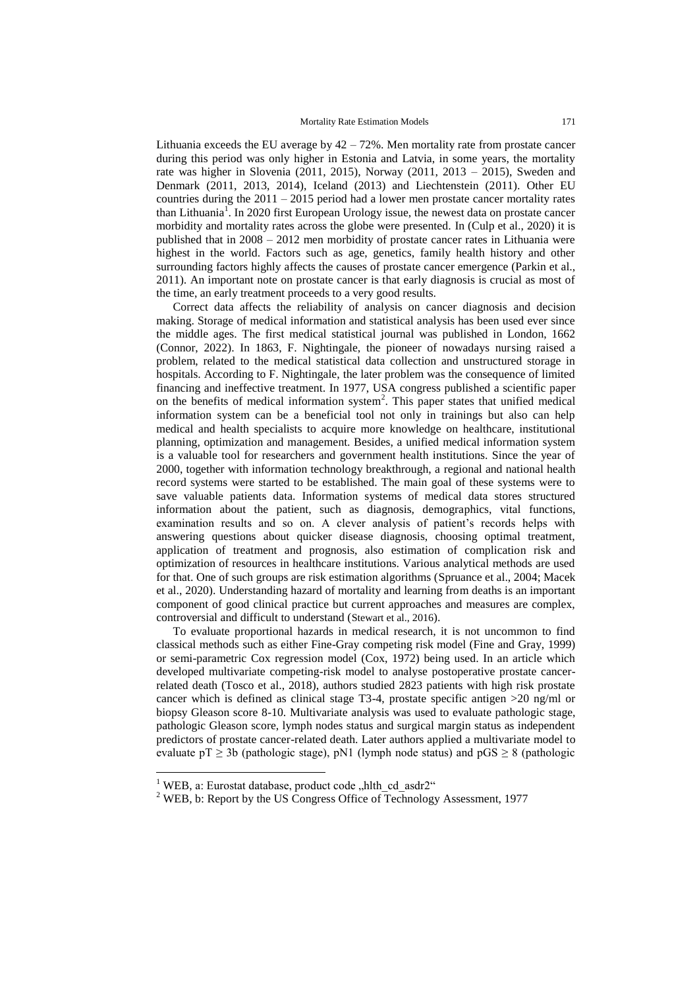Lithuania exceeds the EU average by  $42 - 72\%$ . Men mortality rate from prostate cancer during this period was only higher in Estonia and Latvia, in some years, the mortality rate was higher in Slovenia (2011, 2015), Norway (2011, 2013 – 2015), Sweden and Denmark (2011, 2013, 2014), Iceland (2013) and Liechtenstein (2011). Other EU countries during the 2011 – 2015 period had a lower men prostate cancer mortality rates than Lithuania<sup>1</sup>. In 2020 first European Urology issue, the newest data on prostate cancer morbidity and mortality rates across the globe were presented. In (Culp et al., 2020) it is published that in 2008 – 2012 men morbidity of prostate cancer rates in Lithuania were highest in the world. Factors such as age, genetics, family health history and other surrounding factors highly affects the causes of prostate cancer emergence (Parkin et al., 2011). An important note on prostate cancer is that early diagnosis is crucial as most of the time, an early treatment proceeds to a very good results.

Correct data affects the reliability of analysis on cancer diagnosis and decision making. Storage of medical information and statistical analysis has been used ever since the middle ages. The first medical statistical journal was published in London, 1662 (Connor, 2022). In 1863, F. Nightingale, the pioneer of nowadays nursing raised a problem, related to the medical statistical data collection and unstructured storage in hospitals. According to F. Nightingale, the later problem was the consequence of limited financing and ineffective treatment. In 1977, USA congress published a scientific paper on the benefits of medical information system<sup>2</sup>. This paper states that unified medical information system can be a beneficial tool not only in trainings but also can help medical and health specialists to acquire more knowledge on healthcare, institutional planning, optimization and management. Besides, a unified medical information system is a valuable tool for researchers and government health institutions. Since the year of 2000, together with information technology breakthrough, a regional and national health record systems were started to be established. The main goal of these systems were to save valuable patients data. Information systems of medical data stores structured information about the patient, such as diagnosis, demographics, vital functions, examination results and so on. A clever analysis of patient's records helps with answering questions about quicker disease diagnosis, choosing optimal treatment, application of treatment and prognosis, also estimation of complication risk and optimization of resources in healthcare institutions. Various analytical methods are used for that. One of such groups are risk estimation algorithms (Spruance et al., 2004; Macek et al., 2020). Understanding hazard of mortality and learning from deaths is an important component of good clinical practice but current approaches and measures are complex, controversial and difficult to understand (Stewart et al., 2016).

To evaluate proportional hazards in medical research, it is not uncommon to find classical methods such as either Fine-Gray competing risk model (Fine and Gray, 1999) or semi-parametric Cox regression model (Cox, 1972) being used. In an article which developed multivariate competing-risk model to analyse postoperative prostate cancerrelated death (Tosco et al., 2018), authors studied 2823 patients with high risk prostate cancer which is defined as clinical stage T3-4, prostate specific antigen >20 ng/ml or biopsy Gleason score 8-10. Multivariate analysis was used to evaluate pathologic stage, pathologic Gleason score, lymph nodes status and surgical margin status as independent predictors of prostate cancer-related death. Later authors applied a multivariate model to evaluate  $pT > 3b$  (pathologic stage), pN1 (lymph node status) and  $pGS > 8$  (pathologic

<u>.</u>

<sup>&</sup>lt;sup>1</sup> WEB, a: Eurostat database, product code "hlth\_cd\_asdr2"

<sup>&</sup>lt;sup>2</sup> WEB, b: Report by the US Congress Office of Technology Assessment, 1977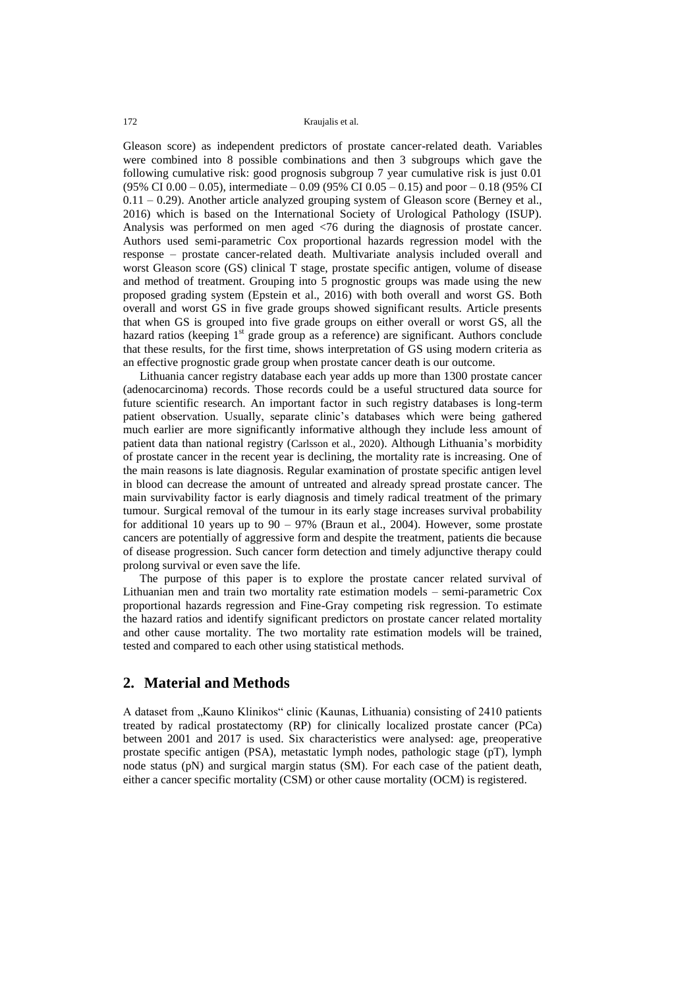Gleason score) as independent predictors of prostate cancer-related death. Variables were combined into 8 possible combinations and then 3 subgroups which gave the following cumulative risk: good prognosis subgroup 7 year cumulative risk is just 0.01 (95% CI 0.00 – 0.05), intermediate – 0.09 (95% CI 0.05 – 0.15) and poor – 0.18 (95% CI  $0.11 - 0.29$ ). Another article analyzed grouping system of Gleason score (Berney et al., 2016) which is based on the International Society of Urological Pathology (ISUP). Analysis was performed on men aged <76 during the diagnosis of prostate cancer. Authors used semi-parametric Cox proportional hazards regression model with the response – prostate cancer-related death. Multivariate analysis included overall and worst Gleason score (GS) clinical T stage, prostate specific antigen, volume of disease and method of treatment. Grouping into 5 prognostic groups was made using the new proposed grading system (Epstein et al., 2016) with both overall and worst GS. Both overall and worst GS in five grade groups showed significant results. Article presents that when GS is grouped into five grade groups on either overall or worst GS, all the hazard ratios (keeping  $1<sup>st</sup>$  grade group as a reference) are significant. Authors conclude that these results, for the first time, shows interpretation of GS using modern criteria as an effective prognostic grade group when prostate cancer death is our outcome.

Lithuania cancer registry database each year adds up more than 1300 prostate cancer (adenocarcinoma) records. Those records could be a useful structured data source for future scientific research. An important factor in such registry databases is long-term patient observation. Usually, separate clinic's databases which were being gathered much earlier are more significantly informative although they include less amount of patient data than national registry (Carlsson et al., 2020). Although Lithuania's morbidity of prostate cancer in the recent year is declining, the mortality rate is increasing. One of the main reasons is late diagnosis. Regular examination of prostate specific antigen level in blood can decrease the amount of untreated and already spread prostate cancer. The main survivability factor is early diagnosis and timely radical treatment of the primary tumour. Surgical removal of the tumour in its early stage increases survival probability for additional 10 years up to  $90 - 97\%$  (Braun et al., 2004). However, some prostate cancers are potentially of aggressive form and despite the treatment, patients die because of disease progression. Such cancer form detection and timely adjunctive therapy could prolong survival or even save the life.

The purpose of this paper is to explore the prostate cancer related survival of Lithuanian men and train two mortality rate estimation models – semi-parametric Cox proportional hazards regression and Fine-Gray competing risk regression. To estimate the hazard ratios and identify significant predictors on prostate cancer related mortality and other cause mortality. The two mortality rate estimation models will be trained, tested and compared to each other using statistical methods.

#### **2. Material and Methods**

A dataset from "Kauno Klinikos" clinic (Kaunas, Lithuania) consisting of 2410 patients treated by radical prostatectomy (RP) for clinically localized prostate cancer (PCa) between 2001 and 2017 is used. Six characteristics were analysed: age, preoperative prostate specific antigen (PSA), metastatic lymph nodes, pathologic stage (pT), lymph node status (pN) and surgical margin status (SM). For each case of the patient death, either a cancer specific mortality (CSM) or other cause mortality (OCM) is registered.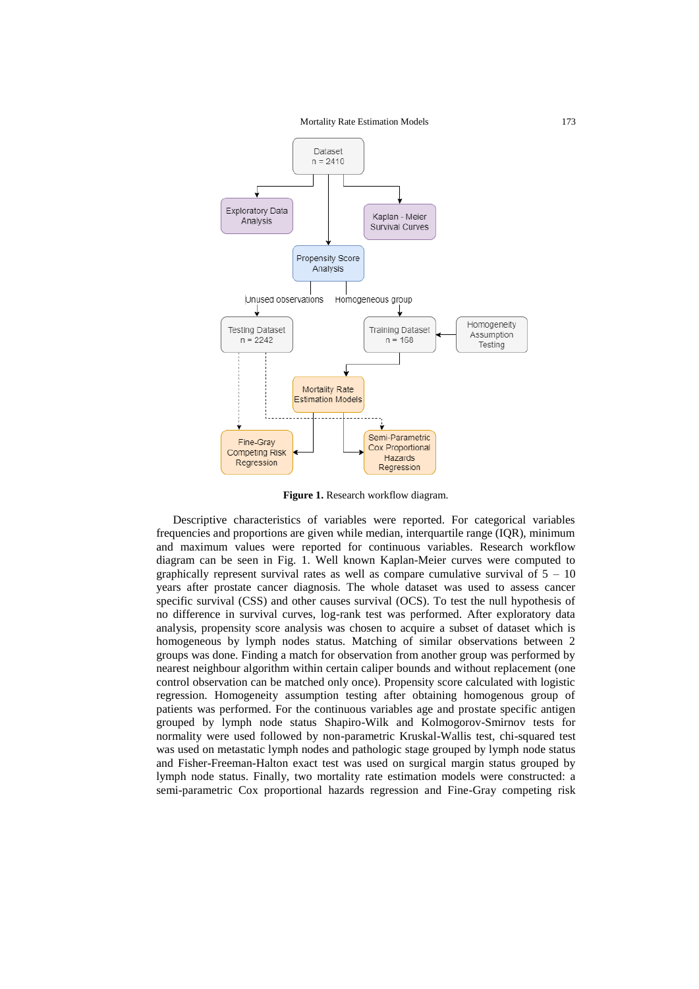

**Figure 1.** Research workflow diagram.

Descriptive characteristics of variables were reported. For categorical variables frequencies and proportions are given while median, interquartile range (IQR), minimum and maximum values were reported for continuous variables. Research workflow diagram can be seen in Fig. 1. Well known Kaplan-Meier curves were computed to graphically represent survival rates as well as compare cumulative survival of  $5 - 10$ years after prostate cancer diagnosis. The whole dataset was used to assess cancer specific survival (CSS) and other causes survival (OCS). To test the null hypothesis of no difference in survival curves, log-rank test was performed. After exploratory data analysis, propensity score analysis was chosen to acquire a subset of dataset which is homogeneous by lymph nodes status. Matching of similar observations between 2 groups was done. Finding a match for observation from another group was performed by nearest neighbour algorithm within certain caliper bounds and without replacement (one control observation can be matched only once). Propensity score calculated with logistic regression. Homogeneity assumption testing after obtaining homogenous group of patients was performed. For the continuous variables age and prostate specific antigen grouped by lymph node status Shapiro-Wilk and Kolmogorov-Smirnov tests for normality were used followed by non-parametric Kruskal-Wallis test, chi-squared test was used on metastatic lymph nodes and pathologic stage grouped by lymph node status and Fisher-Freeman-Halton exact test was used on surgical margin status grouped by lymph node status. Finally, two mortality rate estimation models were constructed: a semi-parametric Cox proportional hazards regression and Fine-Gray competing risk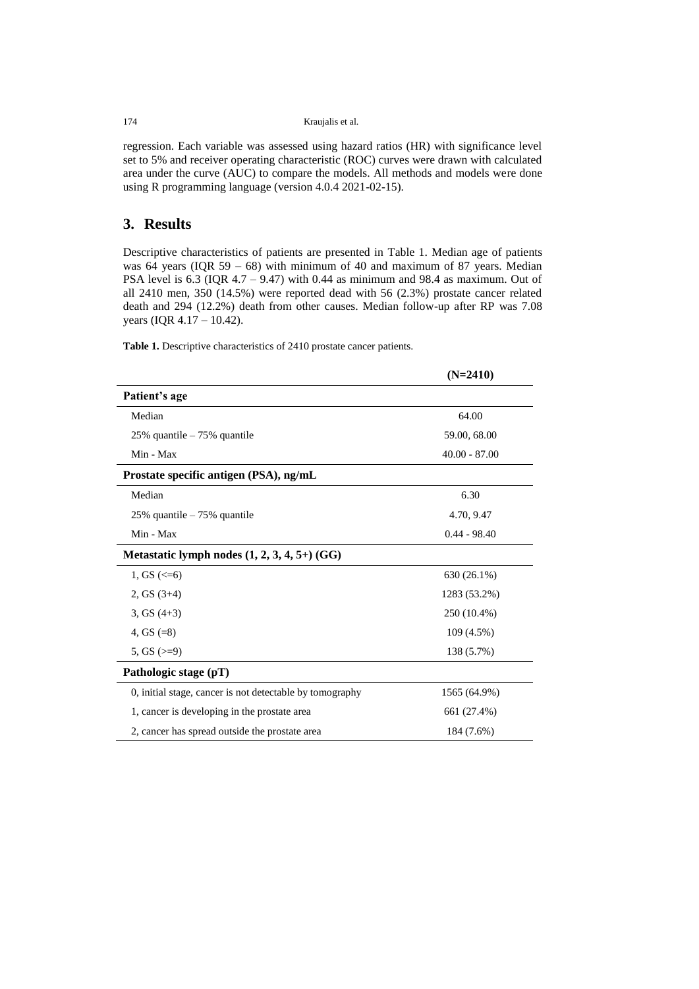174 Kraujalis et al.

regression. Each variable was assessed using hazard ratios (HR) with significance level set to 5% and receiver operating characteristic (ROC) curves were drawn with calculated area under the curve (AUC) to compare the models. All methods and models were done using R programming language (version 4.0.4 2021-02-15).

# **3. Results**

Descriptive characteristics of patients are presented in [Table 1.](#page-4-0) Median age of patients was 64 years (IQR 59 – 68) with minimum of 40 and maximum of 87 years. Median PSA level is  $6.3$  (IQR  $4.7 - 9.47$ ) with 0.44 as minimum and 98.4 as maximum. Out of all 2410 men, 350 (14.5%) were reported dead with 56 (2.3%) prostate cancer related death and 294 (12.2%) death from other causes. Median follow-up after RP was 7.08 years (IQR 4.17 – 10.42).

<span id="page-4-0"></span>**Table 1.** Descriptive characteristics of 2410 prostate cancer patients.

|                                                          | $(N=2410)$      |
|----------------------------------------------------------|-----------------|
| Patient's age                                            |                 |
| Median                                                   | 64.00           |
| 25% quantile - 75% quantile                              | 59.00, 68.00    |
| Min - Max                                                | $40.00 - 87.00$ |
| Prostate specific antigen (PSA), ng/mL                   |                 |
| Median                                                   | 6.30            |
| $25\%$ quantile $-75\%$ quantile                         | 4.70, 9.47      |
| Min - Max                                                | $0.44 - 98.40$  |
| Metastatic lymph nodes $(1, 2, 3, 4, 5+)$ (GG)           |                 |
| 1, GS $\left( \leq 6 \right)$                            | 630 (26.1%)     |
| 2, GS $(3+4)$                                            | 1283 (53.2%)    |
| 3, GS $(4+3)$                                            | 250 (10.4%)     |
| 4, GS $(=8)$                                             | 109 (4.5%)      |
| 5, GS $(>=9)$                                            | 138 (5.7%)      |
| Pathologic stage (pT)                                    |                 |
| 0, initial stage, cancer is not detectable by tomography | 1565 (64.9%)    |
| 1, cancer is developing in the prostate area             | 661 (27.4%)     |
| 2, cancer has spread outside the prostate area           | 184 (7.6%)      |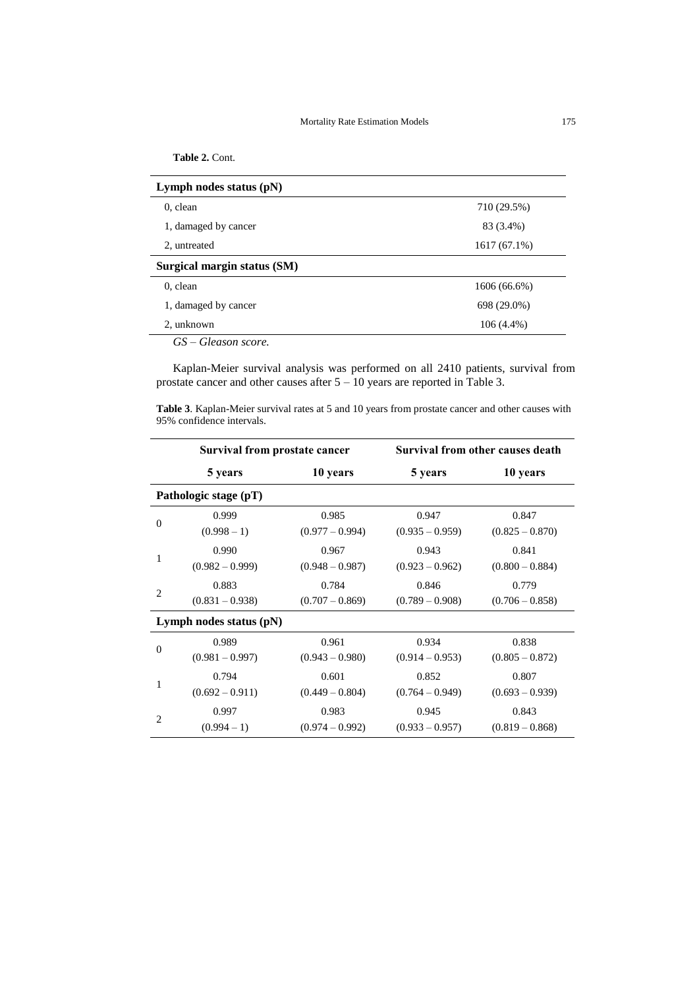| Table 2. Cont. |
|----------------|
|----------------|

| 710 (29.5%)    |
|----------------|
| 83 (3.4%)      |
| $1617(67.1\%)$ |
|                |
| 1606 (66.6%)   |
| 698 (29.0%)    |
| $106(4.4\%)$   |
|                |

Kaplan-Meier survival analysis was performed on all 2410 patients, survival from prostate cancer and other causes after  $5 - 10$  years are reported in [Table 3.](#page-5-0)

<span id="page-5-0"></span>**Table 3**. Kaplan-Meier survival rates at 5 and 10 years from prostate cancer and other causes with 95% confidence intervals.

| Survival from prostate cancer |                           | Survival from other causes death |                   |                   |
|-------------------------------|---------------------------|----------------------------------|-------------------|-------------------|
|                               | 5 years                   | 10 years                         | 5 years           | 10 years          |
|                               | Pathologic stage (pT)     |                                  |                   |                   |
| $\Omega$                      | 0.999                     | 0.985                            | 0.947             | 0.847             |
|                               | $(0.998 - 1)$             | $(0.977 - 0.994)$                | $(0.935 - 0.959)$ | $(0.825 - 0.870)$ |
|                               | 0.990                     | 0.967                            | 0.943             | 0.841             |
| 1                             | $(0.982 - 0.999)$         | $(0.948 - 0.987)$                | $(0.923 - 0.962)$ | $(0.800 - 0.884)$ |
| $\overline{2}$                | 0.883                     | 0.784                            | 0.846             | 0.779             |
|                               | $(0.831 - 0.938)$         | $(0.707 - 0.869)$                | $(0.789 - 0.908)$ | $(0.706 - 0.858)$ |
|                               | Lymph nodes status $(pN)$ |                                  |                   |                   |
| $\theta$                      | 0.989                     | 0.961                            | 0.934             | 0.838             |
|                               | $(0.981 - 0.997)$         | $(0.943 - 0.980)$                | $(0.914 - 0.953)$ | $(0.805 - 0.872)$ |
| 1                             | 0.794                     | 0.601                            | 0.852             | 0.807             |
|                               | $(0.692 - 0.911)$         | $(0.449 - 0.804)$                | $(0.764 - 0.949)$ | $(0.693 - 0.939)$ |
|                               | 0.997                     | 0.983                            | 0.945             | 0.843             |
| $\overline{c}$                | $(0.994 - 1)$             | $(0.974 - 0.992)$                | $(0.933 - 0.957)$ | $(0.819 - 0.868)$ |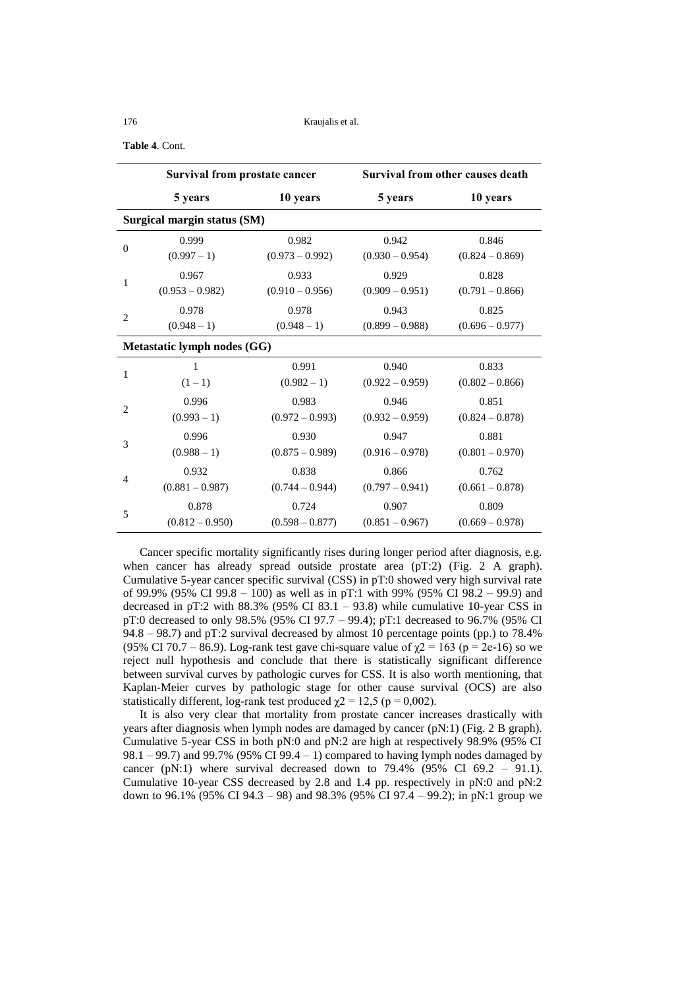#### 176 Kraujalis et al.

**Table 4**. Cont.

| Survival from prostate cancer |                             | Survival from other causes death |                   |                   |
|-------------------------------|-----------------------------|----------------------------------|-------------------|-------------------|
|                               | 5 years                     | 10 years                         | 5 years           | 10 years          |
|                               | Surgical margin status (SM) |                                  |                   |                   |
| $\overline{0}$                | 0.999                       | 0.982                            | 0.942             | 0.846             |
|                               | $(0.997 - 1)$               | $(0.973 - 0.992)$                | $(0.930 - 0.954)$ | $(0.824 - 0.869)$ |
|                               | 0.967                       | 0.933                            | 0.929             | 0.828             |
| 1                             | $(0.953 - 0.982)$           | $(0.910 - 0.956)$                | $(0.909 - 0.951)$ | $(0.791 - 0.866)$ |
|                               | 0.978                       | 0.978                            | 0.943             | 0.825             |
| $\overline{2}$                | $(0.948 - 1)$               | $(0.948 - 1)$                    | $(0.899 - 0.988)$ | $(0.696 - 0.977)$ |
|                               | Metastatic lymph nodes (GG) |                                  |                   |                   |
| 1                             | $\mathbf{1}$                | 0.991                            | 0.940             | 0.833             |
|                               | $(1-1)$                     | $(0.982 - 1)$                    | $(0.922 - 0.959)$ | $(0.802 - 0.866)$ |
| $\overline{c}$                | 0.996                       | 0.983                            | 0.946             | 0.851             |
|                               | $(0.993 - 1)$               | $(0.972 - 0.993)$                | $(0.932 - 0.959)$ | $(0.824 - 0.878)$ |
| 3                             | 0.996                       | 0.930                            | 0.947             | 0.881             |
|                               | $(0.988 - 1)$               | $(0.875 - 0.989)$                | $(0.916 - 0.978)$ | $(0.801 - 0.970)$ |
| $\overline{4}$                | 0.932                       | 0.838                            | 0.866             | 0.762             |
|                               | $(0.881 - 0.987)$           | $(0.744 - 0.944)$                | $(0.797 - 0.941)$ | $(0.661 - 0.878)$ |
| 5                             | 0.878                       | 0.724                            | 0.907             | 0.809             |
|                               | $(0.812 - 0.950)$           | $(0.598 - 0.877)$                | $(0.851 - 0.967)$ | $(0.669 - 0.978)$ |

Cancer specific mortality significantly rises during longer period after diagnosis, e.g. when cancer has already spread outside prostate area (pT:2) (Fig. 2 A graph). Cumulative 5-year cancer specific survival (CSS) in pT:0 showed very high survival rate of 99.9% (95% CI 99.8 – 100) as well as in pT:1 with 99% (95% CI 98.2 – 99.9) and decreased in pT:2 with 88.3% (95% CI 83.1 – 93.8) while cumulative 10-year CSS in pT:0 decreased to only 98.5% (95% CI 97.7 – 99.4); pT:1 decreased to 96.7% (95% CI 94.8 – 98.7) and pT:2 survival decreased by almost 10 percentage points (pp.) to 78.4% (95% CI 70.7 – 86.9). Log-rank test gave chi-square value of  $\chi$ 2 = 163 (p = 2e-16) so we reject null hypothesis and conclude that there is statistically significant difference between survival curves by pathologic curves for CSS. It is also worth mentioning, that Kaplan-Meier curves by pathologic stage for other cause survival (OCS) are also statistically different, log-rank test produced  $\gamma$ 2 = 12,5 (p = 0,002).

It is also very clear that mortality from prostate cancer increases drastically with years after diagnosis when lymph nodes are damaged by cancer (pN:1) (Fig. 2 B graph). Cumulative 5-year CSS in both pN:0 and pN:2 are high at respectively 98.9% (95% CI  $98.1 - 99.7$ ) and  $99.7\%$  (95% CI  $99.4 - 1$ ) compared to having lymph nodes damaged by cancer (pN:1) where survival decreased down to  $79.4\%$  (95% CI 69.2 – 91.1). Cumulative 10-year CSS decreased by 2.8 and 1.4 pp. respectively in pN:0 and pN:2 down to 96.1% (95% CI 94.3 – 98) and 98.3% (95% CI 97.4 – 99.2); in pN:1 group we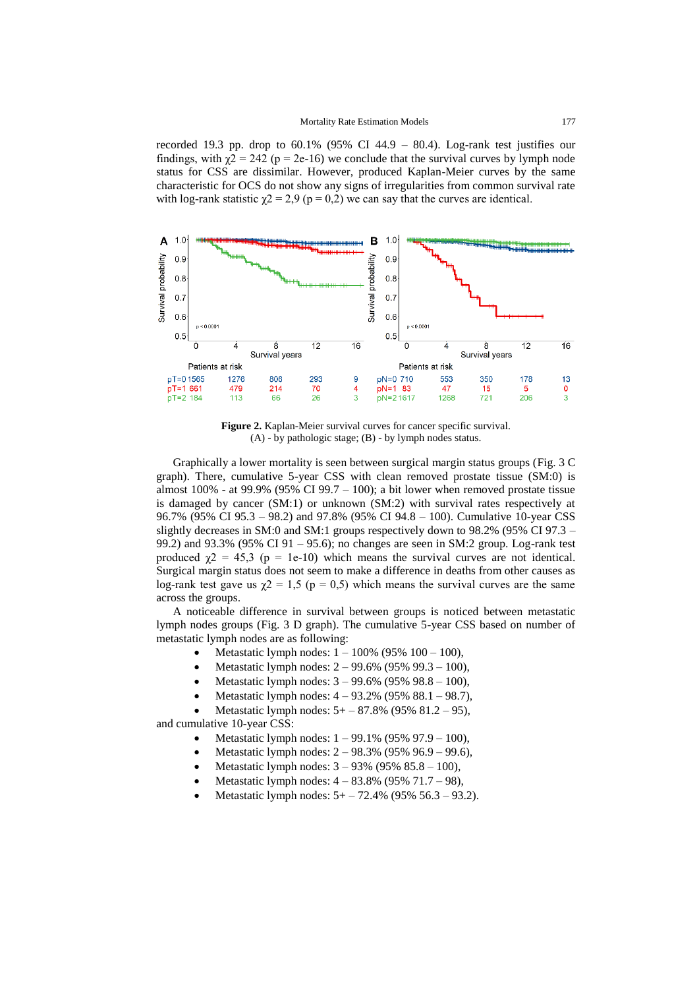recorded 19.3 pp. drop to  $60.1\%$  (95% CI 44.9 – 80.4). Log-rank test justifies our findings, with  $\gamma$ 2 = 242 (p = 2e-16) we conclude that the survival curves by lymph node status for CSS are dissimilar. However, produced Kaplan-Meier curves by the same characteristic for OCS do not show any signs of irregularities from common survival rate with log-rank statistic  $\chi$ 2 = 2,9 (p = 0,2) we can say that the curves are identical.



**Figure 2.** Kaplan-Meier survival curves for cancer specific survival. (A) - by pathologic stage; (B) - by lymph nodes status.

Graphically a lower mortality is seen between surgical margin status groups (Fig. 3 C graph). There, cumulative 5-year CSS with clean removed prostate tissue (SM:0) is almost 100% - at 99.9% (95% CI 99.7 – 100); a bit lower when removed prostate tissue is damaged by cancer (SM:1) or unknown (SM:2) with survival rates respectively at 96.7% (95% CI 95.3 – 98.2) and 97.8% (95% CI 94.8 – 100). Cumulative 10-year CSS slightly decreases in SM:0 and SM:1 groups respectively down to 98.2% (95% CI 97.3 – 99.2) and 93.3% (95% CI 91 – 95.6); no changes are seen in SM:2 group. Log-rank test produced  $\gamma$ 2 = 45,3 (p = 1e-10) which means the survival curves are not identical. Surgical margin status does not seem to make a difference in deaths from other causes as log-rank test gave us  $\chi$ 2 = 1,5 (p = 0,5) which means the survival curves are the same across the groups.

A noticeable difference in survival between groups is noticed between metastatic lymph nodes groups (Fig. 3 D graph). The cumulative 5-year CSS based on number of metastatic lymph nodes are as following:

- Metastatic lymph nodes:  $1 100\%$  (95%  $100 100$ ),
- Metastatic lymph nodes: 2 99.6% (95% 99.3 100),
- Metastatic lymph nodes:  $3 99.6\%$  (95% 98.8 100),
- Metastatic lymph nodes: 4 93.2% (95% 88.1 98.7),
- Metastatic lymph nodes: 5+ 87.8% (95% 81.2 95), and cumulative 10-year CSS:
	- - Metastatic lymph nodes: 1 99.1% (95% 97.9 100),
		- Metastatic lymph nodes: 2 98.3% (95% 96.9 99.6),
		- Metastatic lymph nodes: 3 93% (95% 85.8 100),
		- Metastatic lymph nodes: 4 83.8% (95% 71.7 98),
		- Metastatic lymph nodes: 5+ 72.4% (95% 56.3 93.2).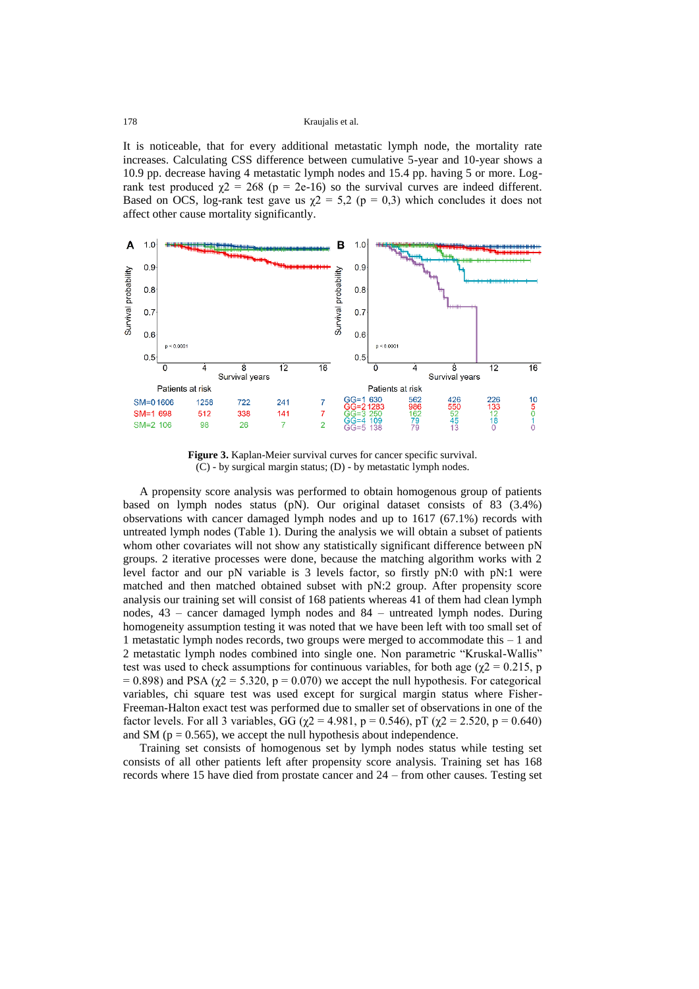It is noticeable, that for every additional metastatic lymph node, the mortality rate increases. Calculating CSS difference between cumulative 5-year and 10-year shows a 10.9 pp. decrease having 4 metastatic lymph nodes and 15.4 pp. having 5 or more. Logrank test produced  $\chi$ 2 = 268 (p = 2e-16) so the survival curves are indeed different. Based on OCS, log-rank test gave us  $\gamma$ 2 = 5,2 (p = 0,3) which concludes it does not affect other cause mortality significantly.



**Figure 3.** Kaplan-Meier survival curves for cancer specific survival. (C) - by surgical margin status; (D) - by metastatic lymph nodes.

A propensity score analysis was performed to obtain homogenous group of patients based on lymph nodes status (pN). Our original dataset consists of 83 (3.4%) observations with cancer damaged lymph nodes and up to 1617 (67.1%) records with untreated lymph nodes [\(Table 1\)](#page-4-0). During the analysis we will obtain a subset of patients whom other covariates will not show any statistically significant difference between pN groups. 2 iterative processes were done, because the matching algorithm works with 2 level factor and our pN variable is 3 levels factor, so firstly pN:0 with pN:1 were matched and then matched obtained subset with pN:2 group. After propensity score analysis our training set will consist of 168 patients whereas 41 of them had clean lymph nodes, 43 – cancer damaged lymph nodes and 84 – untreated lymph nodes. During homogeneity assumption testing it was noted that we have been left with too small set of 1 metastatic lymph nodes records, two groups were merged to accommodate this – 1 and 2 metastatic lymph nodes combined into single one. Non parametric "Kruskal-Wallis" test was used to check assumptions for continuous variables, for both age ( $\chi$ 2 = 0.215, p = 0.898) and PSA ( $\chi$ 2 = 5.320, p = 0.070) we accept the null hypothesis. For categorical variables, chi square test was used except for surgical margin status where Fisher-Freeman-Halton exact test was performed due to smaller set of observations in one of the factor levels. For all 3 variables, GG ( $\gamma$ 2 = 4.981, p = 0.546), pT ( $\gamma$ 2 = 2.520, p = 0.640) and SM ( $p = 0.565$ ), we accept the null hypothesis about independence.

Training set consists of homogenous set by lymph nodes status while testing set consists of all other patients left after propensity score analysis. Training set has 168 records where 15 have died from prostate cancer and 24 – from other causes. Testing set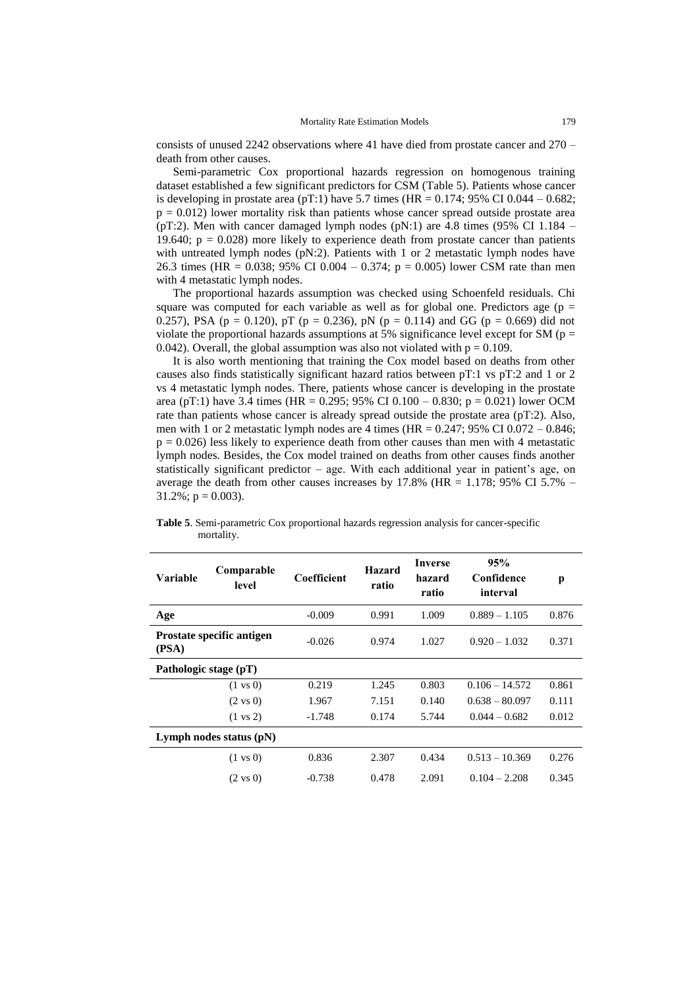consists of unused 2242 observations where 41 have died from prostate cancer and 270 – death from other causes.

Semi-parametric Cox proportional hazards regression on homogenous training dataset established a few significant predictors for CSM [\(Table 5\)](#page-9-0). Patients whose cancer is developing in prostate area (pT:1) have 5.7 times (HR =  $0.174$ ; 95% CI 0.044 – 0.682;  $p = 0.012$ ) lower mortality risk than patients whose cancer spread outside prostate area (pT:2). Men with cancer damaged lymph nodes (pN:1) are 4.8 times (95% CI 1.184 – 19.640;  $p = 0.028$ ) more likely to experience death from prostate cancer than patients with untreated lymph nodes (pN:2). Patients with 1 or 2 metastatic lymph nodes have 26.3 times (HR =  $0.038$ ; 95% CI 0.004 – 0.374; p = 0.005) lower CSM rate than men with 4 metastatic lymph nodes.

The proportional hazards assumption was checked using Schoenfeld residuals. Chi square was computed for each variable as well as for global one. Predictors age ( $p =$ 0.257), PSA ( $p = 0.120$ ), pT ( $p = 0.236$ ), pN ( $p = 0.114$ ) and GG ( $p = 0.669$ ) did not violate the proportional hazards assumptions at 5% significance level except for SM ( $p =$ 0.042). Overall, the global assumption was also not violated with  $p = 0.109$ .

It is also worth mentioning that training the Cox model based on deaths from other causes also finds statistically significant hazard ratios between pT:1 vs pT:2 and 1 or 2 vs 4 metastatic lymph nodes. There, patients whose cancer is developing in the prostate area (pT:1) have 3.4 times (HR = 0.295; 95% CI 0.100 – 0.830; p = 0.021) lower OCM rate than patients whose cancer is already spread outside the prostate area (pT:2). Also, men with 1 or 2 metastatic lymph nodes are 4 times (HR =  $0.247$ ; 95% CI 0.072 – 0.846;  $p = 0.026$ ) less likely to experience death from other causes than men with 4 metastatic lymph nodes. Besides, the Cox model trained on deaths from other causes finds another statistically significant predictor – age. With each additional year in patient's age, on average the death from other causes increases by  $17.8\%$  (HR = 1.178; 95% CI 5.7% –  $31.2\%$ ; p = 0.003).

| Variable              | Comparable<br>level       | Coefficient | <b>Hazard</b><br>ratio | Inverse<br>hazard<br>ratio | 95%<br>Confidence<br>interval | p     |
|-----------------------|---------------------------|-------------|------------------------|----------------------------|-------------------------------|-------|
| Age                   |                           | $-0.009$    | 0.991                  | 1.009                      | $0.889 - 1.105$               | 0.876 |
| (PSA)                 | Prostate specific antigen | $-0.026$    | 0.974                  | 1.027                      | $0.920 - 1.032$               | 0.371 |
| Pathologic stage (pT) |                           |             |                        |                            |                               |       |
|                       | $(1 \text{ vs } 0)$       | 0.219       | 1.245                  | 0.803                      | $0.106 - 14.572$              | 0.861 |
|                       | $(2 \text{ vs } 0)$       | 1.967       | 7.151                  | 0.140                      | $0.638 - 80.097$              | 0.111 |
|                       | $(1 \text{ vs } 2)$       | $-1.748$    | 0.174                  | 5.744                      | $0.044 - 0.682$               | 0.012 |
|                       | Lymph nodes status $(pN)$ |             |                        |                            |                               |       |
|                       | $(1 \text{ vs } 0)$       | 0.836       | 2.307                  | 0.434                      | $0.513 - 10.369$              | 0.276 |
|                       | $(2 \text{ vs } 0)$       | $-0.738$    | 0.478                  | 2.091                      | $0.104 - 2.208$               | 0.345 |

<span id="page-9-0"></span>**Table 5**. Semi-parametric Cox proportional hazards regression analysis for cancer-specific mortality.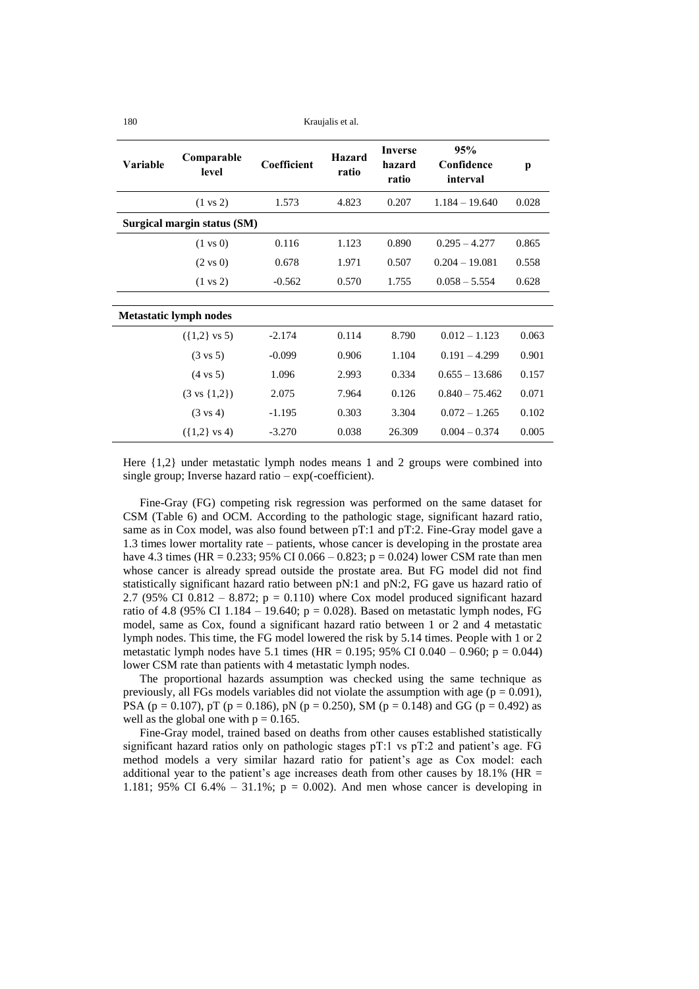180 Kraujalis et al.

| Variable | Comparable<br>level           | <b>Coefficient</b> | <b>Hazard</b><br>ratio | <b>Inverse</b><br>hazard<br>ratio | 95%<br>Confidence<br>interval | p     |
|----------|-------------------------------|--------------------|------------------------|-----------------------------------|-------------------------------|-------|
|          | $(1 \text{ vs } 2)$           | 1.573              | 4.823                  | 0.207                             | $1.184 - 19.640$              | 0.028 |
|          | Surgical margin status (SM)   |                    |                        |                                   |                               |       |
|          | $(1 \text{ vs } 0)$           | 0.116              | 1.123                  | 0.890                             | $0.295 - 4.277$               | 0.865 |
|          | $(2 \text{ vs } 0)$           | 0.678              | 1.971                  | 0.507                             | $0.204 - 19.081$              | 0.558 |
|          | $(1 \text{ vs } 2)$           | $-0.562$           | 0.570                  | 1.755                             | $0.058 - 5.554$               | 0.628 |
|          |                               |                    |                        |                                   |                               |       |
|          | <b>Metastatic lymph nodes</b> |                    |                        |                                   |                               |       |
|          | $({1,2}$ vs 5)                | $-2.174$           | 0.114                  | 8.790                             | $0.012 - 1.123$               | 0.063 |
|          | $(3 \text{ vs } 5)$           | $-0.099$           | 0.906                  | 1.104                             | $0.191 - 4.299$               | 0.901 |
|          | $(4 \text{ vs } 5)$           | 1.096              | 2.993                  | 0.334                             | $0.655 - 13.686$              | 0.157 |
|          | $(3 \text{ vs } \{1,2\})$     | 2.075              | 7.964                  | 0.126                             | $0.840 - 75.462$              | 0.071 |
|          | $(3 \text{ vs } 4)$           | $-1.195$           | 0.303                  | 3.304                             | $0.072 - 1.265$               | 0.102 |
|          | $({1,2}$ vs 4)                | $-3.270$           | 0.038                  | 26.309                            | $0.004 - 0.374$               | 0.005 |

Here {1,2} under metastatic lymph nodes means 1 and 2 groups were combined into single group; Inverse hazard ratio – exp(-coefficient).

Fine-Gray (FG) competing risk regression was performed on the same dataset for CSM [\(Table 6\)](#page-11-0) and OCM. According to the pathologic stage, significant hazard ratio, same as in Cox model, was also found between pT:1 and pT:2. Fine-Gray model gave a 1.3 times lower mortality rate – patients, whose cancer is developing in the prostate area have 4.3 times (HR =  $0.233$ ; 95% CI  $0.066 - 0.823$ ; p =  $0.024$ ) lower CSM rate than men whose cancer is already spread outside the prostate area. But FG model did not find statistically significant hazard ratio between pN:1 and pN:2, FG gave us hazard ratio of 2.7 (95% CI 0.812 – 8.872;  $p = 0.110$ ) where Cox model produced significant hazard ratio of 4.8 (95% CI 1.184 – 19.640;  $p = 0.028$ ). Based on metastatic lymph nodes, FG model, same as Cox, found a significant hazard ratio between 1 or 2 and 4 metastatic lymph nodes. This time, the FG model lowered the risk by 5.14 times. People with 1 or 2 metastatic lymph nodes have 5.1 times (HR = 0.195; 95% CI 0.040 – 0.960; p = 0.044) lower CSM rate than patients with 4 metastatic lymph nodes.

The proportional hazards assumption was checked using the same technique as previously, all FGs models variables did not violate the assumption with age ( $p = 0.091$ ). PSA ( $p = 0.107$ ),  $pT$  ( $p = 0.186$ ),  $pN$  ( $p = 0.250$ ), SM ( $p = 0.148$ ) and GG ( $p = 0.492$ ) as well as the global one with  $p = 0.165$ .

Fine-Gray model, trained based on deaths from other causes established statistically significant hazard ratios only on pathologic stages pT:1 vs pT:2 and patient's age. FG method models a very similar hazard ratio for patient's age as Cox model: each additional year to the patient's age increases death from other causes by  $18.1\%$  (HR = 1.181; 95% CI 6.4% – 31.1%;  $p = 0.002$ ). And men whose cancer is developing in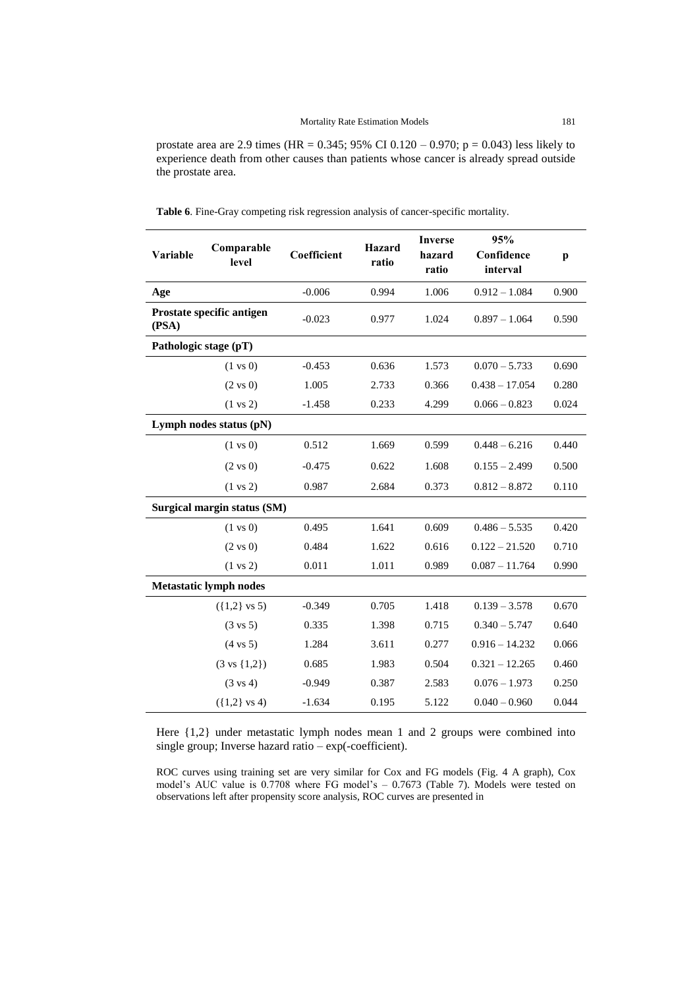prostate area are 2.9 times (HR =  $0.345$ ; 95% CI  $0.120 - 0.970$ ; p =  $0.043$ ) less likely to experience death from other causes than patients whose cancer is already spread outside the prostate area.

| Variable              | Comparable<br>level           | Coefficient | Hazard<br>ratio | <b>Inverse</b><br>hazard<br>ratio | 95%<br>Confidence<br>interval | p     |
|-----------------------|-------------------------------|-------------|-----------------|-----------------------------------|-------------------------------|-------|
| Age                   |                               | $-0.006$    | 0.994           | 1.006                             | $0.912 - 1.084$               | 0.900 |
| (PSA)                 | Prostate specific antigen     | $-0.023$    | 0.977           | 1.024                             | $0.897 - 1.064$               | 0.590 |
| Pathologic stage (pT) |                               |             |                 |                                   |                               |       |
|                       | $(1 \text{ vs } 0)$           | $-0.453$    | 0.636           | 1.573                             | $0.070 - 5.733$               | 0.690 |
|                       | $(2 \text{ vs } 0)$           | 1.005       | 2.733           | 0.366                             | $0.438 - 17.054$              | 0.280 |
|                       | $(1 \text{ vs } 2)$           | $-1.458$    | 0.233           | 4.299                             | $0.066 - 0.823$               | 0.024 |
|                       | Lymph nodes status (pN)       |             |                 |                                   |                               |       |
|                       | $(1 \text{ vs } 0)$           | 0.512       | 1.669           | 0.599                             | $0.448 - 6.216$               | 0.440 |
|                       | $(2 \text{ vs } 0)$           | $-0.475$    | 0.622           | 1.608                             | $0.155 - 2.499$               | 0.500 |
|                       | $(1 \text{ vs } 2)$           | 0.987       | 2.684           | 0.373                             | $0.812 - 8.872$               | 0.110 |
|                       | Surgical margin status (SM)   |             |                 |                                   |                               |       |
|                       | $(1 \text{ vs } 0)$           | 0.495       | 1.641           | 0.609                             | $0.486 - 5.535$               | 0.420 |
|                       | $(2 \text{ vs } 0)$           | 0.484       | 1.622           | 0.616                             | $0.122 - 21.520$              | 0.710 |
|                       | $(1 \text{ vs } 2)$           | 0.011       | 1.011           | 0.989                             | $0.087 - 11.764$              | 0.990 |
|                       | <b>Metastatic lymph nodes</b> |             |                 |                                   |                               |       |
|                       | $({1,2}$ vs 5)                | $-0.349$    | 0.705           | 1.418                             | $0.139 - 3.578$               | 0.670 |
|                       | $(3 \text{ vs } 5)$           | 0.335       | 1.398           | 0.715                             | $0.340 - 5.747$               | 0.640 |
|                       | $(4 \text{ vs } 5)$           | 1.284       | 3.611           | 0.277                             | $0.916 - 14.232$              | 0.066 |
|                       | $(3 \text{ vs } \{1,2\})$     | 0.685       | 1.983           | 0.504                             | $0.321 - 12.265$              | 0.460 |
|                       | $(3 \text{ vs } 4)$           | $-0.949$    | 0.387           | 2.583                             | $0.076 - 1.973$               | 0.250 |
|                       | $({1,2}$ vs 4)                | $-1.634$    | 0.195           | 5.122                             | $0.040 - 0.960$               | 0.044 |

<span id="page-11-0"></span>**Table 6**. Fine-Gray competing risk regression analysis of cancer-specific mortality.

Here {1,2} under metastatic lymph nodes mean 1 and 2 groups were combined into single group; Inverse hazard ratio – exp(-coefficient).

ROC curves using training set are very similar for Cox and FG models (Fig. 4 A graph), Cox model's AUC value is 0.7708 where FG model's – 0.7673 [\(Table 7\)](#page-12-0). Models were tested on observations left after propensity score analysis, ROC curves are presented in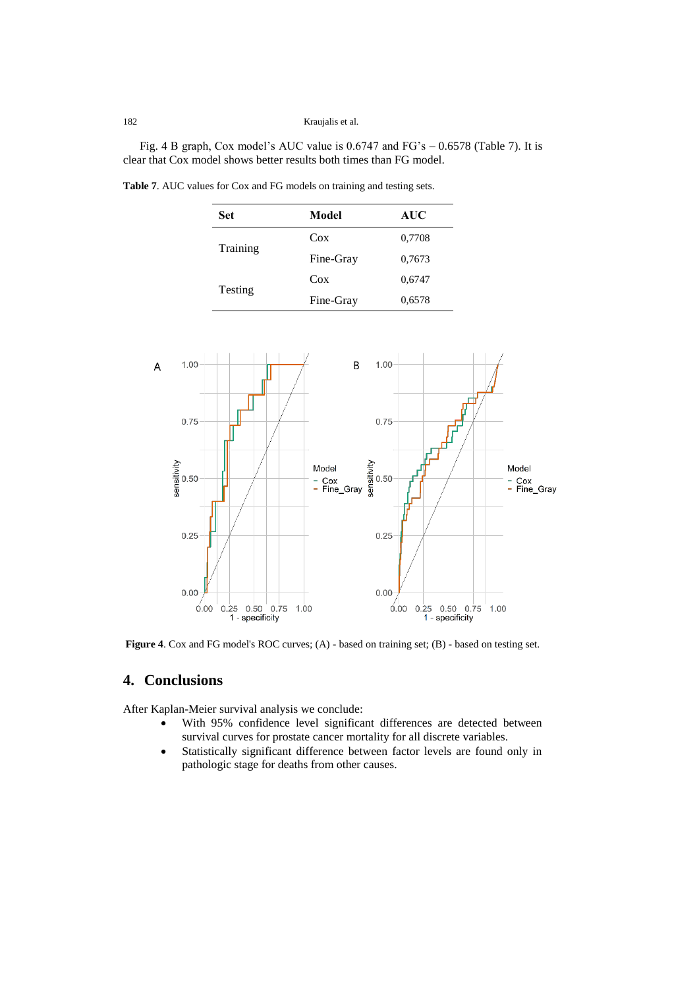Fig. 4 B graph, Cox model's AUC value is 0.6747 and FG's – 0.6578 [\(Table 7\)](#page-12-0). It is clear that Cox model shows better results both times than FG model.

|  | $M_2$ $d_2$ | $\sim$ | A TTO<br>. |
|--|-------------|--------|------------|
|  |             |        |            |

<span id="page-12-0"></span>**Table 7**. AUC values for Cox and FG models on training and testing sets.

| <b>Set</b> | Model     | <b>AUC</b> |
|------------|-----------|------------|
| Training   | $\cos$    | 0,7708     |
|            | Fine-Gray | 0,7673     |
|            | Cox       | 0,6747     |
| Testing    | Fine-Gray | 0,6578     |



Figure 4. Cox and FG model's ROC curves; (A) - based on training set; (B) - based on testing set.

## **4. Conclusions**

After Kaplan-Meier survival analysis we conclude:

- With 95% confidence level significant differences are detected between survival curves for prostate cancer mortality for all discrete variables.
- Statistically significant difference between factor levels are found only in pathologic stage for deaths from other causes.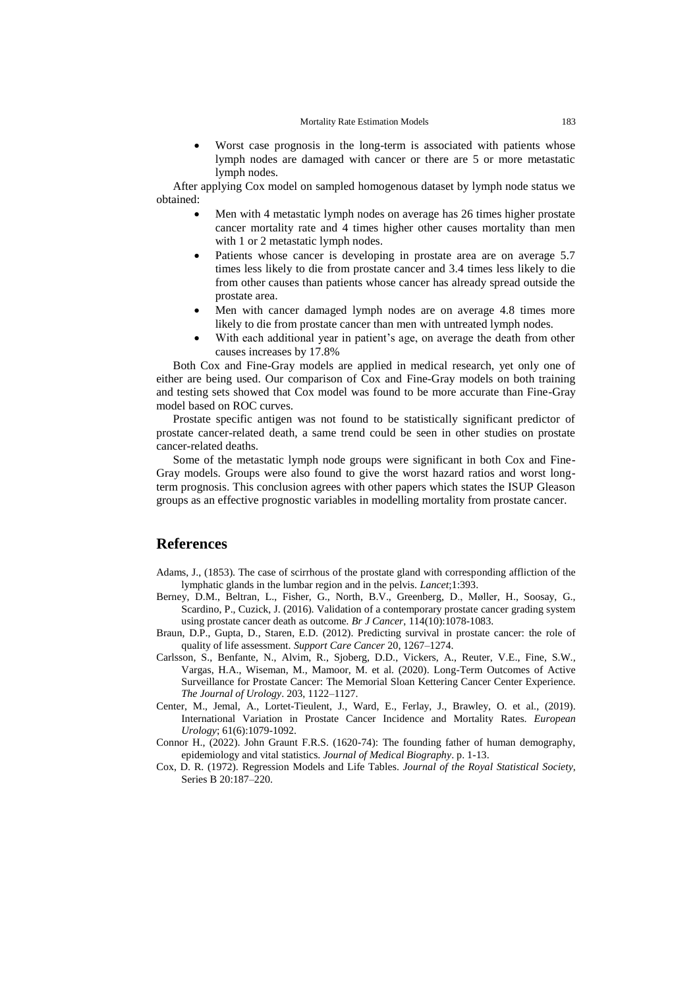Worst case prognosis in the long-term is associated with patients whose lymph nodes are damaged with cancer or there are 5 or more metastatic lymph nodes.

After applying Cox model on sampled homogenous dataset by lymph node status we obtained:

- Men with 4 metastatic lymph nodes on average has 26 times higher prostate cancer mortality rate and 4 times higher other causes mortality than men with 1 or 2 metastatic lymph nodes.
- Patients whose cancer is developing in prostate area are on average 5.7 times less likely to die from prostate cancer and 3.4 times less likely to die from other causes than patients whose cancer has already spread outside the prostate area.
- Men with cancer damaged lymph nodes are on average 4.8 times more likely to die from prostate cancer than men with untreated lymph nodes.
- With each additional year in patient's age, on average the death from other causes increases by 17.8%

Both Cox and Fine-Gray models are applied in medical research, yet only one of either are being used. Our comparison of Cox and Fine-Gray models on both training and testing sets showed that Cox model was found to be more accurate than Fine-Gray model based on ROC curves.

Prostate specific antigen was not found to be statistically significant predictor of prostate cancer-related death, a same trend could be seen in other studies on prostate cancer-related deaths.

Some of the metastatic lymph node groups were significant in both Cox and Fine-Gray models. Groups were also found to give the worst hazard ratios and worst longterm prognosis. This conclusion agrees with other papers which states the ISUP Gleason groups as an effective prognostic variables in modelling mortality from prostate cancer.

#### **References**

- Adams, J., (1853). The case of scirrhous of the prostate gland with corresponding affliction of the lymphatic glands in the lumbar region and in the pelvis. *Lancet*;1:393.
- Berney, D.M., Beltran, L., Fisher, G., North, B.V., Greenberg, D., Møller, H., Soosay, G., Scardino, P., Cuzick, J. (2016). Validation of a contemporary prostate cancer grading system using prostate cancer death as outcome*. Br J Cancer*, 114(10):1078-1083.
- Braun, D.P., Gupta, D., Staren, E.D. (2012). Predicting survival in prostate cancer: the role of quality of life assessment. *Support Care Cancer* 20, 1267–1274.
- Carlsson, S., Benfante, N., Alvim, R., Sjoberg, D.D., Vickers, A., Reuter, V.E., Fine, S.W., Vargas, H.A., Wiseman, M., Mamoor, M. et al. (2020). Long-Term Outcomes of Active Surveillance for Prostate Cancer: The Memorial Sloan Kettering Cancer Center Experience. *The Journal of Urology*. 203, 1122–1127.
- Center, M., Jemal, A., Lortet-Tieulent, J., Ward, E., Ferlay, J., Brawley, O. et al., (2019). International Variation in Prostate Cancer Incidence and Mortality Rates. *European Urology*; 61(6):1079-1092.
- Connor H., (2022). John Graunt F.R.S. (1620-74): The founding father of human demography, epidemiology and vital statistics. *Journal of Medical Biography*. p. 1-13.
- Cox, D. R. (1972). Regression Models and Life Tables. *Journal of the Royal Statistical Society*, Series B 20:187–220.